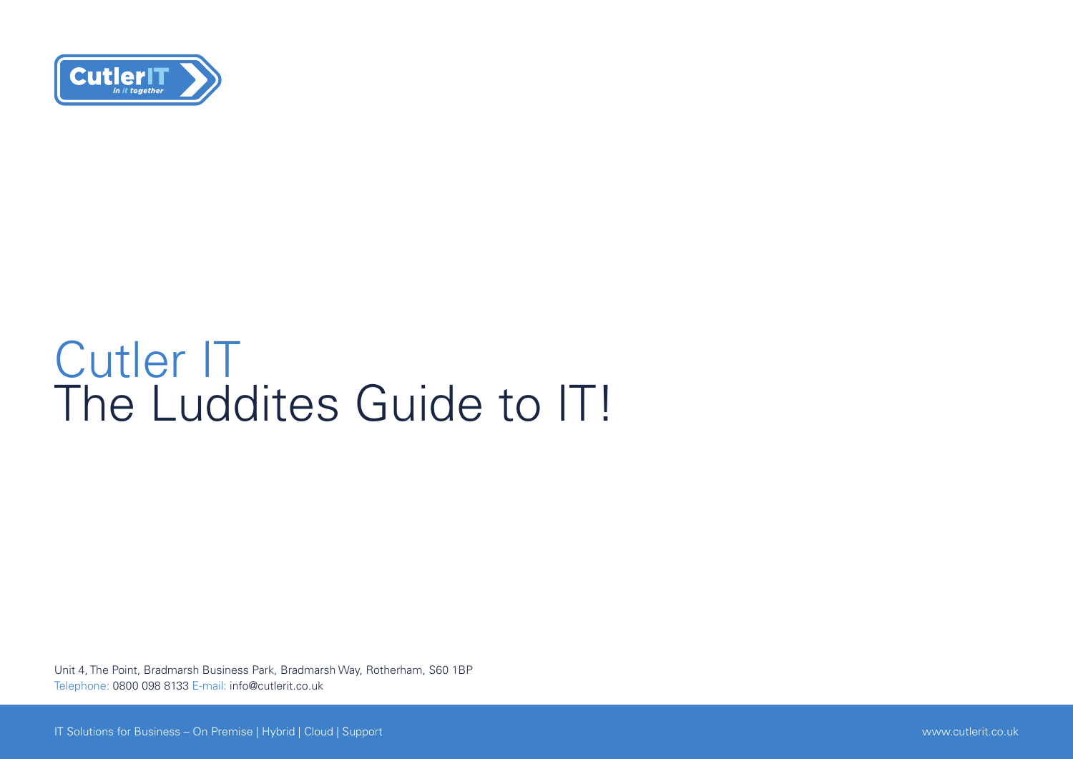

### Cutler IT The Luddites Guide to IT!

Unit 4, The Point, Bradmarsh Business Park, Bradmarsh Way, Rotherham, S60 1BP Telephone: 0800 098 8133 E-mail: info@cutlerit.co.uk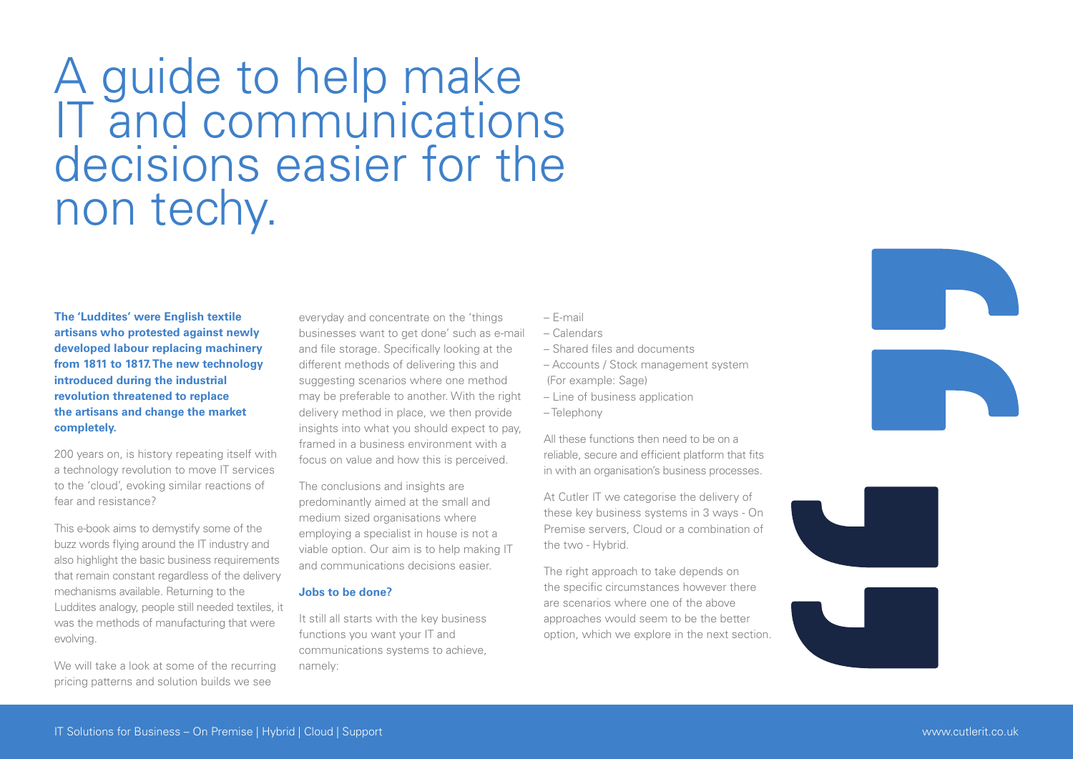A guide to help make IT and communications decisions easier for the non techy.

**The 'Luddites' were English textile artisans who protested against newly developed labour replacing machinery from 1811 to 1817. The new technology introduced during the industrial revolution threatened to replace the artisans and change the market completely.**

200 years on, is history repeating itself with a technology revolution to move IT services to the 'cloud', evoking similar reactions of fear and resistance?

This e-book aims to demystify some of the buzz words flying around the IT industry and also highlight the basic business requirements that remain constant regardless of the delivery mechanisms available. Returning to the Luddites analogy, people still needed textiles, it was the methods of manufacturing that were evolving.

We will take a look at some of the recurring pricing patterns and solution builds we see

everyday and concentrate on the 'things businesses want to get done' such as e-mail and file storage. Specifically looking at the different methods of delivering this and suggesting scenarios where one method may be preferable to another. With the right delivery method in place, we then provide insights into what you should expect to pay, framed in a business environment with a focus on value and how this is perceived.

The conclusions and insights are predominantly aimed at the small and medium sized organisations where employing a specialist in house is not a viable option. Our aim is to help making IT and communications decisions easier.

### **Jobs to be done?**

It still all starts with the key business functions you want your IT and communications systems to achieve, namely:

- E-mail
- Calendars
- Shared files and documents
- Accounts / Stock management system
- (For example: Sage)
- Line of business application
- Telephony

All these functions then need to be on a reliable, secure and efficient platform that fits in with an organisation's business processes.

At Cutler IT we categorise the delivery of these key business systems in 3 ways - On Premise servers, Cloud or a combination of the two - Hybrid.

The right approach to take depends on the specific circumstances however there are scenarios where one of the above approaches would seem to be the better option, which we explore in the next section.







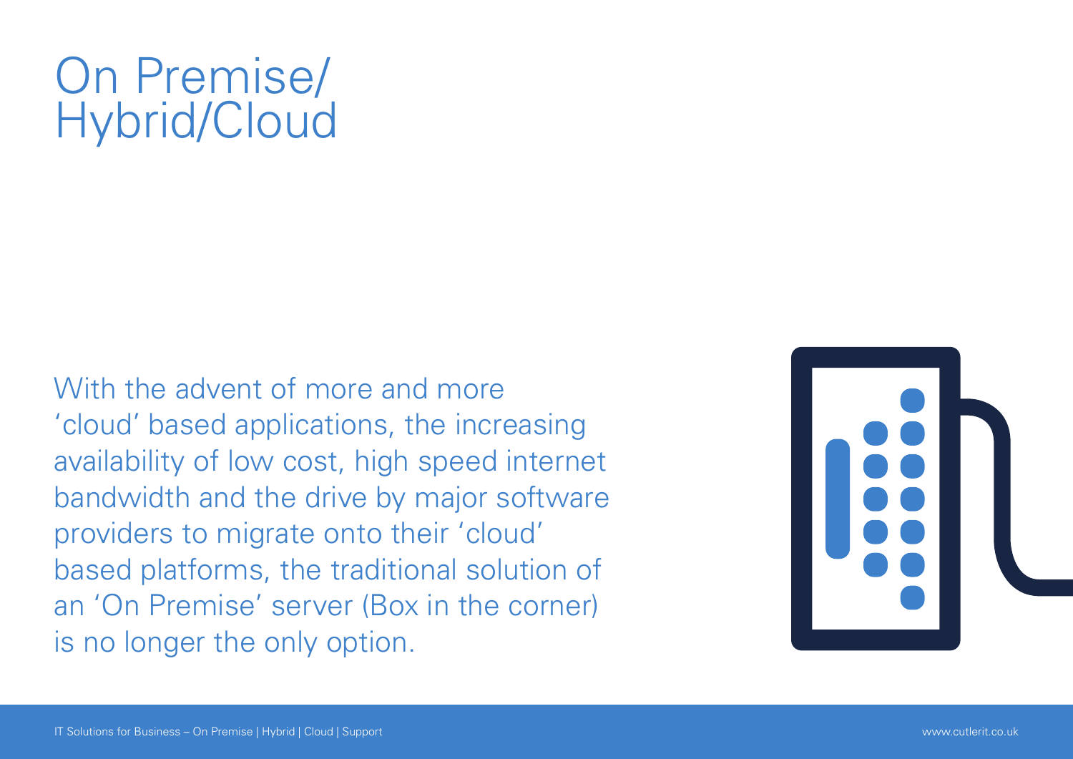## On Premise/ Hybrid/Cloud

With the advent of more and more 'cloud' based applications, the increasing availability of low cost, high speed internet bandwidth and the drive by major software providers to migrate onto their 'cloud' based platforms, the traditional solution of an 'On Premise' server (Box in the corner) is no longer the only option.

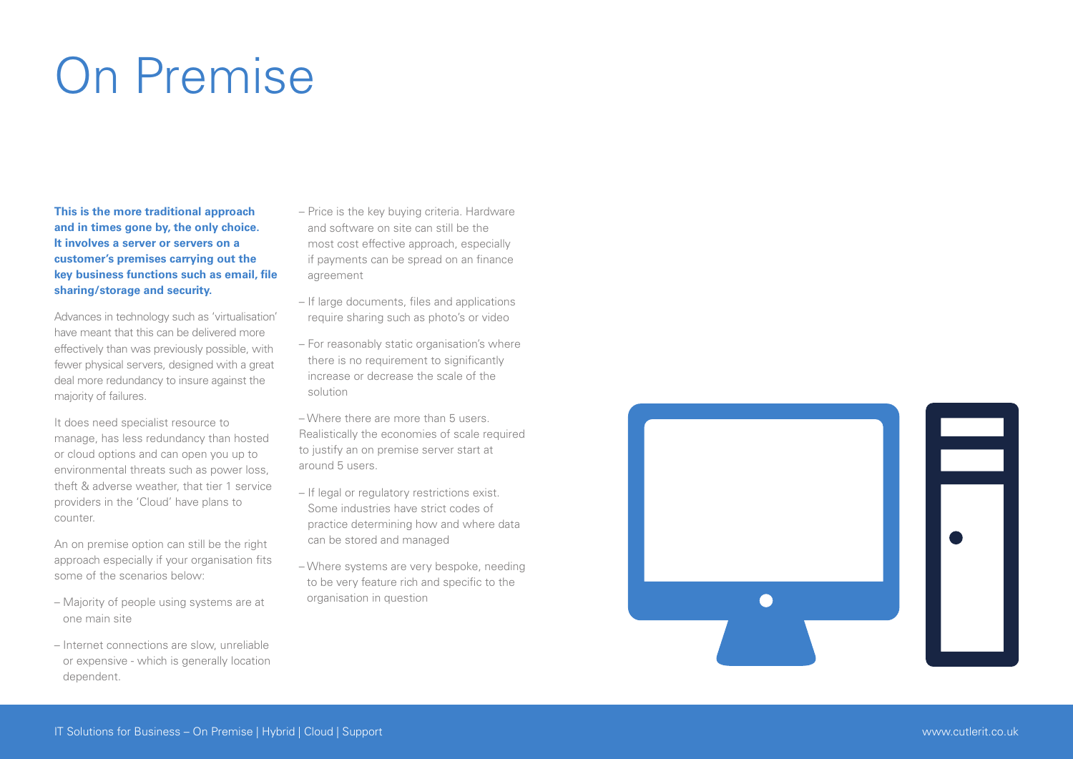# On Premise

**This is the more traditional approach and in times gone by, the only choice. It involves a server or servers on a customer's premises carrying out the key business functions such as email, file sharing/storage and security.**

Advances in technology such as 'virtualisation' have meant that this can be delivered more effectively than was previously possible, with fewer physical servers, designed with a great deal more redundancy to insure against the majority of failures.

It does need specialist resource to manage, has less redundancy than hosted or cloud options and can open you up to environmental threats such as power loss theft & adverse weather, that tier 1 service providers in the 'Cloud' have plans to counter.

An on premise option can still be the right approach especially if your organisation fits some of the scenarios below:

- Majority of people using systems are at one main site
- Internet connections are slow, unreliable or expensive - which is generally location dependent.
- Price is the key buying criteria. Hardware and software on site can still be the most cost effective approach, especially if payments can be spread on an finance agreement
- If large documents, files and applications require sharing such as photo's or video
- For reasonably static organisation's where there is no requirement to significantly increase or decrease the scale of the solution
- Where there are more than 5 users. Realistically the economies of scale required to justify an on premise server start at around 5 users.
- If legal or regulatory restrictions exist. Some industries have strict codes of practice determining how and where data can be stored and managed
- Where systems are very bespoke, needing to be very feature rich and specific to the organisation in question

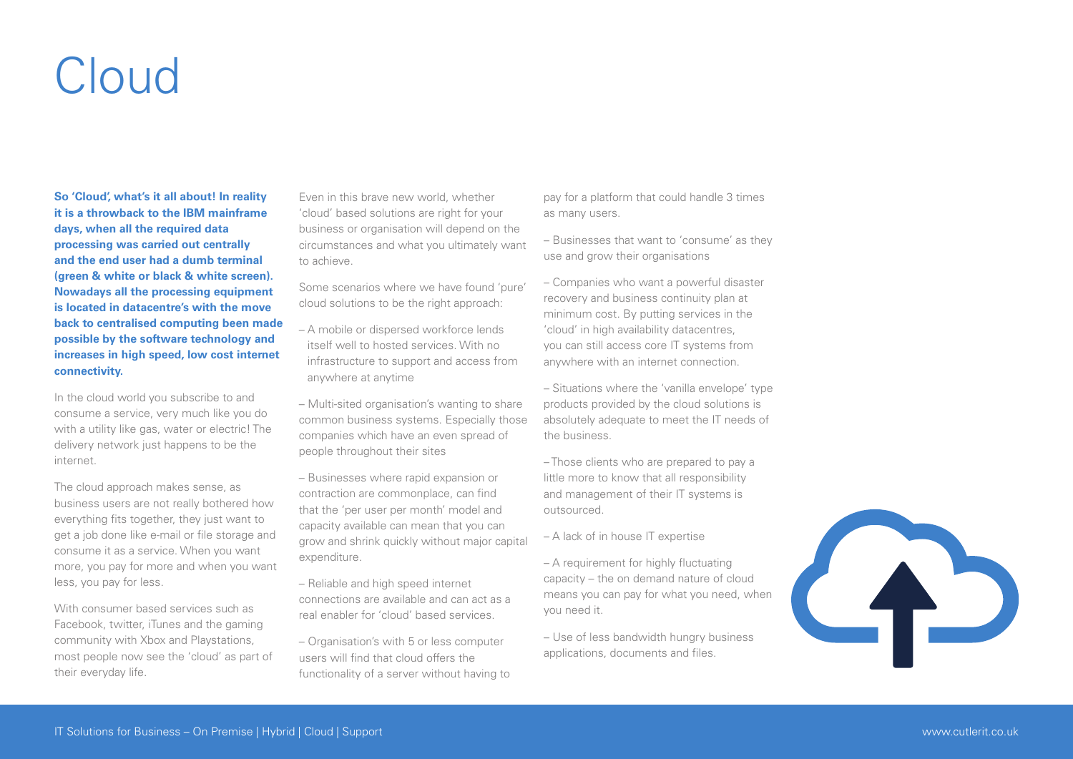## Cloud

**So 'Cloud', what's it all about! In reality it is a throwback to the IBM mainframe days, when all the required data processing was carried out centrally and the end user had a dumb terminal (green & white or black & white screen). Nowadays all the processing equipment is located in datacentre's with the move back to centralised computing been made possible by the software technology and increases in high speed, low cost internet connectivity.**

In the cloud world you subscribe to and consume a service, very much like you do with a utility like gas, water or electric! The delivery network just happens to be the internet.

The cloud approach makes sense, as business users are not really bothered how everything fits together, they just want to get a job done like e-mail or file storage and consume it as a service. When you want more, you pay for more and when you want less, you pay for less.

With consumer hased services such as Facebook, twitter, iTunes and the gaming community with Xbox and Playstations, most people now see the 'cloud' as part of their everyday life.

Even in this brave new world, whether 'cloud' based solutions are right for your business or organisation will depend on the circumstances and what you ultimately want to achieve.

Some scenarios where we have found 'pure' cloud solutions to be the right approach:

- A mobile or dispersed workforce lends itself well to hosted services. With no infrastructure to support and access from anywhere at anytime
- Multi-sited organisation's wanting to share common business systems. Especially those companies which have an even spread of people throughout their sites
- Businesses where rapid expansion or contraction are commonplace, can find that the 'per user per month' model and capacity available can mean that you can grow and shrink quickly without major capital expenditure.
- Reliable and high speed internet connections are available and can act as a real enabler for 'cloud' based services.
- Organisation's with 5 or less computer users will find that cloud offers the functionality of a server without having to

pay for a platform that could handle 3 times as many users.

– Businesses that want to 'consume' as they use and grow their organisations

– Companies who want a powerful disaster recovery and business continuity plan at minimum cost. By putting services in the 'cloud' in high availability datacentres, you can still access core IT systems from anywhere with an internet connection.

– Situations where the 'vanilla envelope' type products provided by the cloud solutions is absolutely adequate to meet the IT needs of the business.

– Those clients who are prepared to pay a little more to know that all responsibility and management of their IT systems is outsourced.

- A lack of in house IT expertise
- A requirement for highly fluctuating capacity – the on demand nature of cloud means you can pay for what you need, when you need it.
- Use of less bandwidth hungry business applications, documents and files.

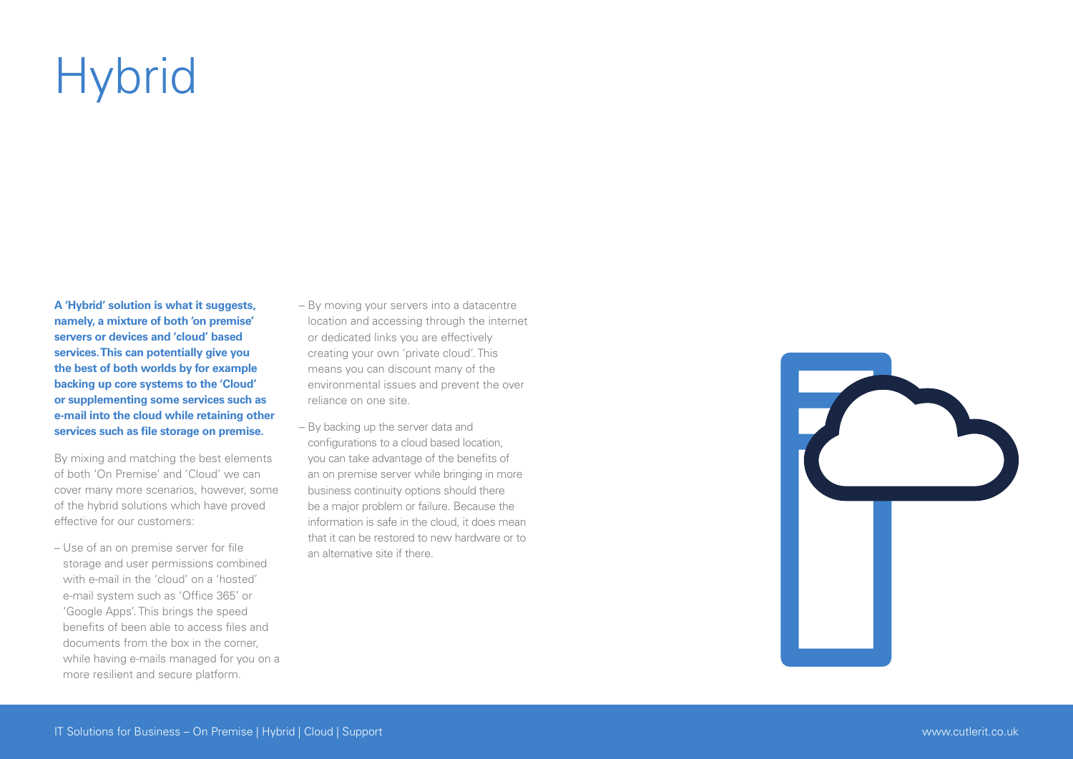# **Hybrid**

**A 'Hybrid' solution is what it suggests, namely, a mixture of both 'on premise' servers or devices and 'cloud' based services. This can potentially give you the best of both worlds by for example backing up core systems to the 'Cloud' or supplementing some services such as e-mail into the cloud while retaining other services such as file storage on premise.**

By mixing and matching the best elements of both 'On Premise' and 'Cloud' we can cover many more scenarios, however, some of the hybrid solutions which have proved effective for our customers:

– Use of an on premise server for file storage and user permissions combined with e-mail in the 'cloud' on a 'hosted' e-mail system such as 'Office 365' or 'Google Apps'. This brings the speed benefits of been able to access files and documents from the box in the corner, while having e-mails managed for you on a more resilient and secure platform.

- By moving your servers into a datacentre location and accessing through the internet or dedicated links you are effectively creating your own 'private cloud'. This means you can discount many of the environmental issues and prevent the over reliance on one site.
- By backing up the server data and configurations to a cloud based location, you can take advantage of the benefits of an on premise server while bringing in more business continuity options should there be a major problem or failure. Because the information is safe in the cloud, it does mean that it can be restored to new hardware or to an alternative site if there.

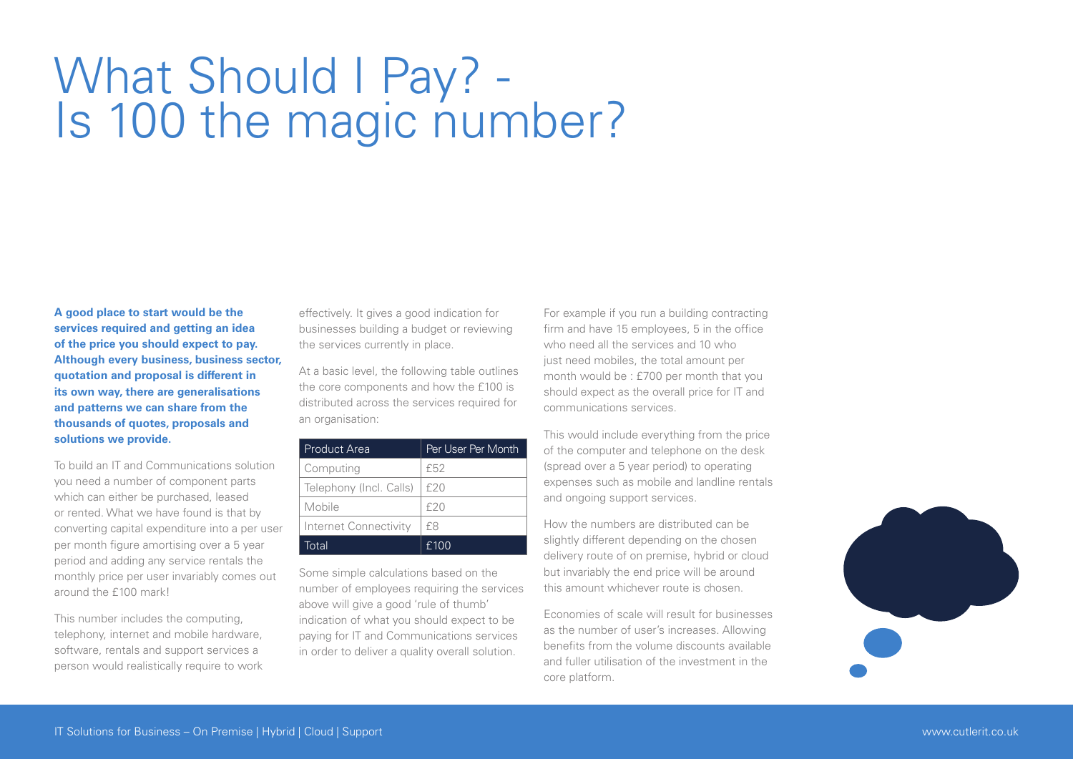## What Should I Pay? - Is 100 the magic number?

**A good place to start would be the services required and getting an idea of the price you should expect to pay. Although every business, business sector, quotation and proposal is different in its own way, there are generalisations and patterns we can share from the thousands of quotes, proposals and solutions we provide.** 

To build an IT and Communications solution you need a number of component parts which can either be purchased, leased or rented. What we have found is that by converting capital expenditure into a per user per month figure amortising over a 5 year period and adding any service rentals the monthly price per user invariably comes out around the £100 mark!

This number includes the computing, telephony, internet and mobile hardware software, rentals and support services a person would realistically require to work effectively. It gives a good indication for businesses building a budget or reviewing the services currently in place.

At a basic level, the following table outlines the core components and how the £100 is distributed across the services required for an organisation:

| <b>Product Area</b>     | Per User Per Month |
|-------------------------|--------------------|
| Computing               | f52                |
| Telephony (Incl. Calls) | f20                |
| Mobile                  | f20                |
| Internet Connectivity   | f8                 |
| Total                   | £100               |

Some simple calculations based on the number of employees requiring the services above will give a good 'rule of thumb' indication of what you should expect to be paying for IT and Communications services in order to deliver a quality overall solution.

For example if you run a building contracting firm and have 15 employees, 5 in the office who need all the services and 10 who just need mobiles, the total amount per month would be : £700 per month that you should expect as the overall price for IT and communications services.

This would include everything from the price of the computer and telephone on the desk (spread over a 5 year period) to operating expenses such as mobile and landline rentals and ongoing support services.

How the numbers are distributed can be slightly different depending on the chosen delivery route of on premise, hybrid or cloud but invariably the end price will be around this amount whichever route is chosen.

Economies of scale will result for businesses as the number of user's increases. Allowing benefits from the volume discounts available and fuller utilisation of the investment in the core platform.

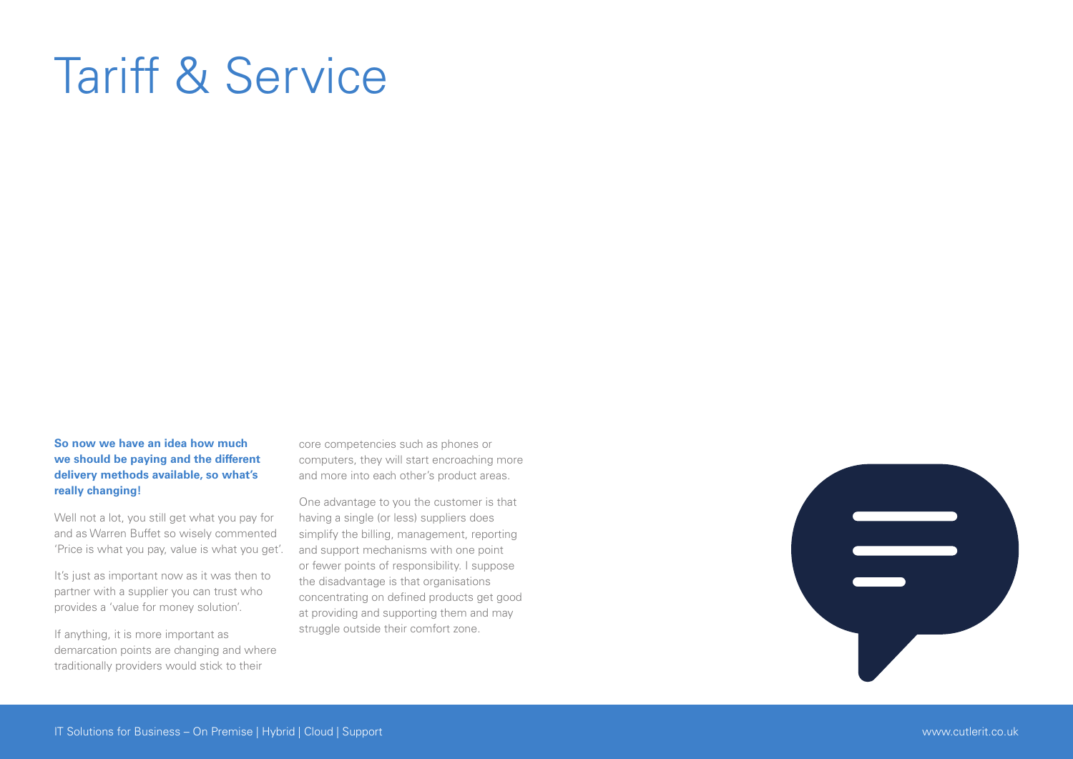## Tariff & Service

### **So now we have an idea how much we should be paying and the different delivery methods available, so what's really changing!**

Well not a lot, you still get what you pay for and as Warren Buffet so wisely commented 'Price is what you pay, value is what you get'.

It's just as important now as it was then to partner with a supplier you can trust who provides a 'value for money solution'.

If anything, it is more important as demarcation points are changing and where traditionally providers would stick to their

core competencies such as phones or computers, they will start encroaching more and more into each other's product areas.

One advantage to you the customer is that having a single (or less) suppliers does simplify the billing, management, reporting and support mechanisms with one point or fewer points of responsibility. I suppose the disadvantage is that organisations concentrating on defined products get good at providing and supporting them and may struggle outside their comfort zone.

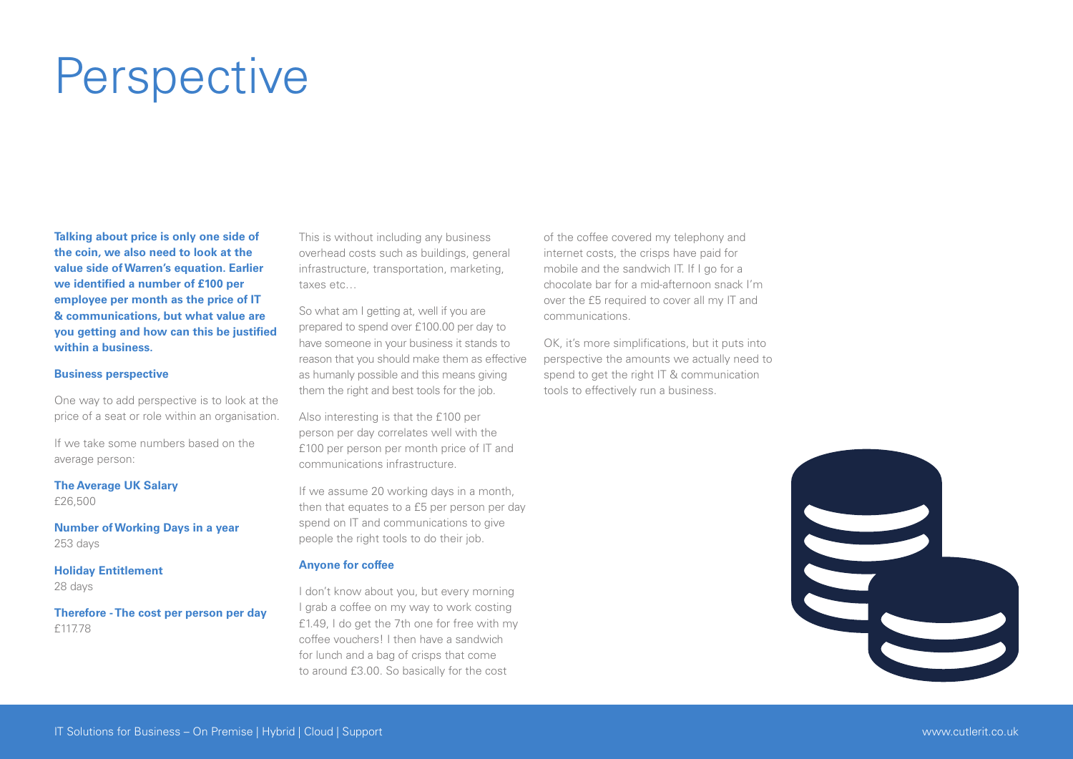## **Perspective**

**Talking about price is only one side of the coin, we also need to look at the value side of Warren's equation. Earlier we identified a number of £100 per employee per month as the price of IT & communications, but what value are you getting and how can this be justified within a business.**

### **Business perspective**

One way to add perspective is to look at the price of a seat or role within an organisation.

If we take some numbers based on the average person:

**The Average UK Salary** 

£26,500

**Number of Working Days in a year** 253 days

**Holiday Entitlement**  28 days

**Therefore - The cost per person per day**  £117.78

This is without including any business overhead costs such as buildings, general infrastructure, transportation, marketing, taxes etc…

So what am I getting at, well if you are prepared to spend over £100.00 per day to have someone in your business it stands to reason that you should make them as effective as humanly possible and this means giving them the right and best tools for the job.

Also interesting is that the £100 per person per day correlates well with the £100 per person per month price of IT and communications infrastructure.

If we assume 20 working days in a month, then that equates to a £5 per person per day spend on IT and communications to give people the right tools to do their job.

### **Anyone for coffee**

I don't know about you, but every morning I grab a coffee on my way to work costing £1.49, I do get the 7th one for free with my coffee vouchers! I then have a sandwich for lunch and a bag of crisps that come to around £3.00. So basically for the cost

of the coffee covered my telephony and internet costs, the crisps have paid for mobile and the sandwich IT. If I go for a chocolate bar for a mid-afternoon snack I'm over the £5 required to cover all my IT and communications.

OK, it's more simplifications, but it puts into perspective the amounts we actually need to spend to get the right IT & communication tools to effectively run a business.

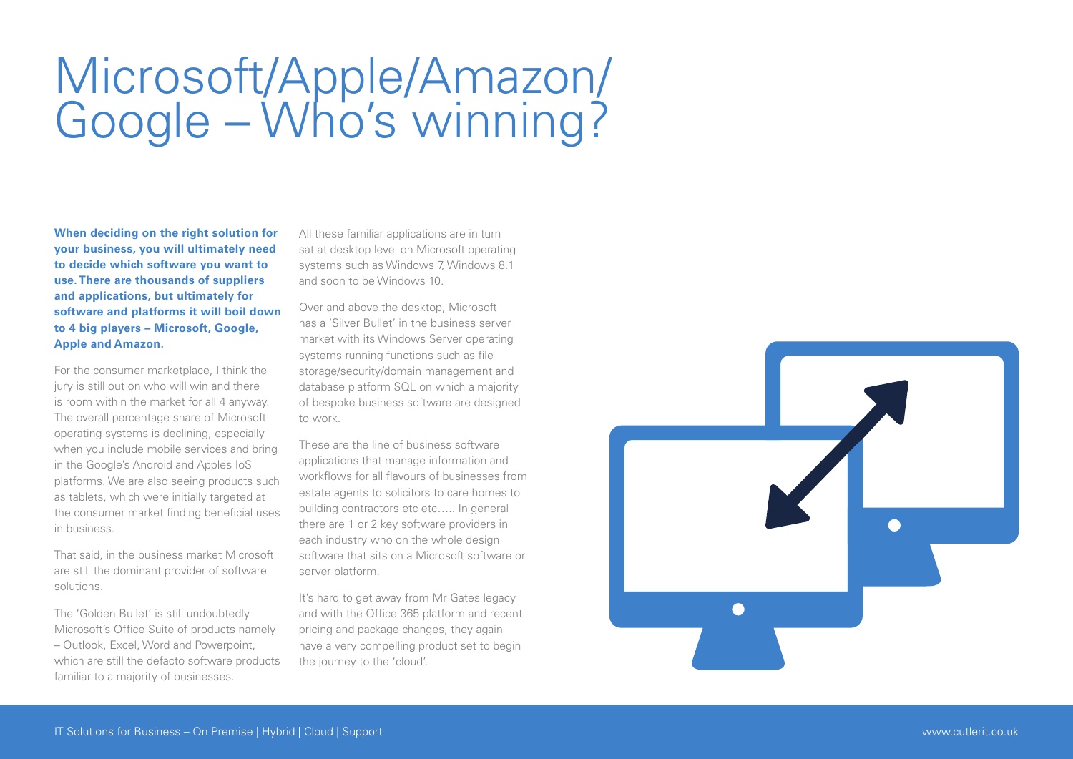## Microsoft/Apple/Amazon/ Google – Who's winning?

**When deciding on the right solution for your business, you will ultimately need to decide which software you want to use. There are thousands of suppliers and applications, but ultimately for software and platforms it will boil down to 4 big players – Microsoft, Google, Apple and Amazon.**

For the consumer marketplace, I think the jury is still out on who will win and there is room within the market for all 4 anyway. The overall percentage share of Microsoft operating systems is declining, especially when you include mobile services and bring in the Google's Android and Apples IoS platforms. We are also seeing products such as tablets, which were initially targeted at the consumer market finding beneficial uses in business.

That said, in the business market Microsoft are still the dominant provider of software solutions.

The 'Golden Bullet' is still undoubtedly Microsoft's Office Suite of products namely – Outlook, Excel, Word and Powerpoint, which are still the defacto software products familiar to a majority of businesses.

All these familiar applications are in turn sat at desktop level on Microsoft operating systems such as Windows 7, Windows 8.1 and soon to be Windows 10.

Over and above the desktop, Microsoft has a 'Silver Bullet' in the business server market with its Windows Server operating systems running functions such as file storage/security/domain management and database platform SQL on which a majority of bespoke business software are designed to work.

These are the line of business software applications that manage information and workflows for all flavours of businesses from estate agents to solicitors to care homes to building contractors etc etc..... In general there are 1 or 2 key software providers in each industry who on the whole design software that sits on a Microsoft software or server platform.

It's hard to get away from Mr Gates legacy and with the Office 365 platform and recent pricing and package changes, they again have a very compelling product set to begin the journey to the 'cloud'.

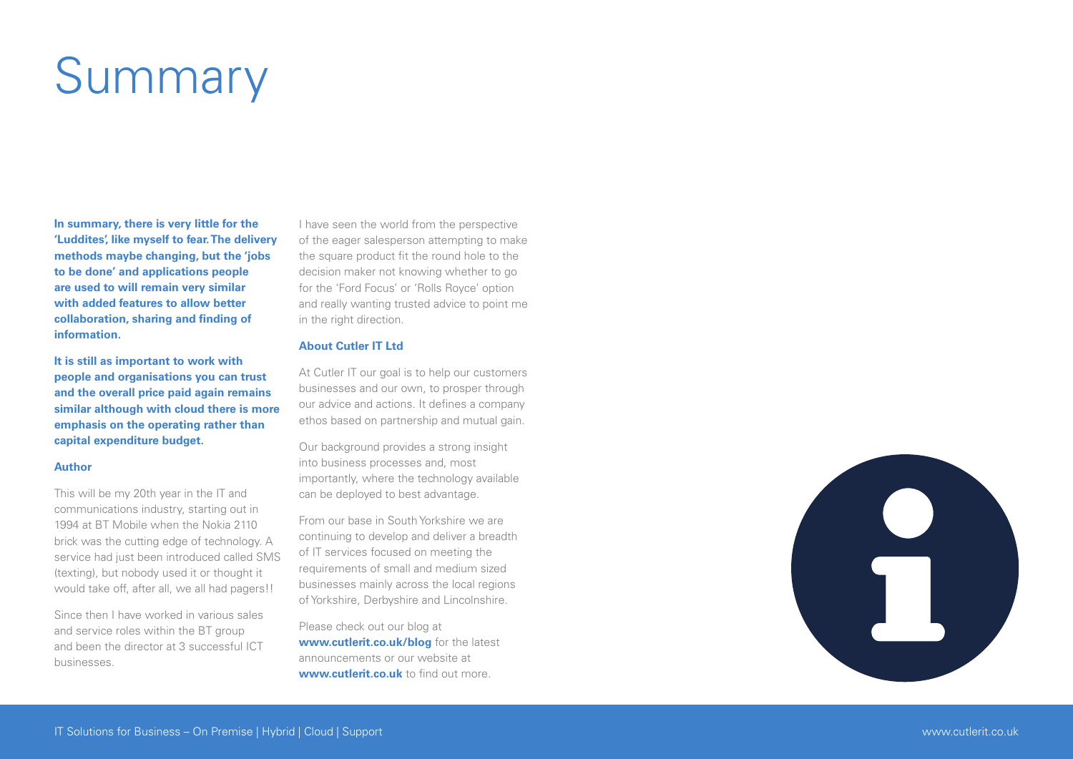# Summary

**In summary, there is very little for the 'Luddites', like myself to fear. The delivery methods maybe changing, but the 'jobs to be done' and applications people are used to will remain very similar with added features to allow better collaboration, sharing and finding of information.**

**It is still as important to work with people and organisations you can trust and the overall price paid again remains similar although with cloud there is more emphasis on the operating rather than capital expenditure budget.**

#### **Author**

This will be my 20th year in the IT and communications industry, starting out in 1994 at BT Mobile when the Nokia 2110 brick was the cutting edge of technology. A service had just been introduced called SMS (texting), but nobody used it or thought it would take off, after all, we all had pagers!!

Since then I have worked in various sales and service roles within the BT group and been the director at 3 successful ICT businesses.

I have seen the world from the perspective of the eager salesperson attempting to make the square product fit the round hole to the decision maker not knowing whether to go for the 'Ford Focus' or 'Rolls Royce' option and really wanting trusted advice to point me in the right direction.

### **About Cutler IT Ltd**

At Cutler IT our goal is to help our customers businesses and our own, to prosper through our advice and actions. It defines a company ethos based on partnership and mutual gain.

Our background provides a strong insight into business processes and, most importantly, where the technology available can be deployed to best advantage.

From our base in South Yorkshire we are continuing to develop and deliver a breadth of IT services focused on meeting the requirements of small and medium sized businesses mainly across the local regions of Yorkshire, Derbyshire and Lincolnshire.

Please check out our blog at **www.cutlerit.co.uk/blog** for the latest announcements or our website at **www.cutlerit.co.uk** to find out more.